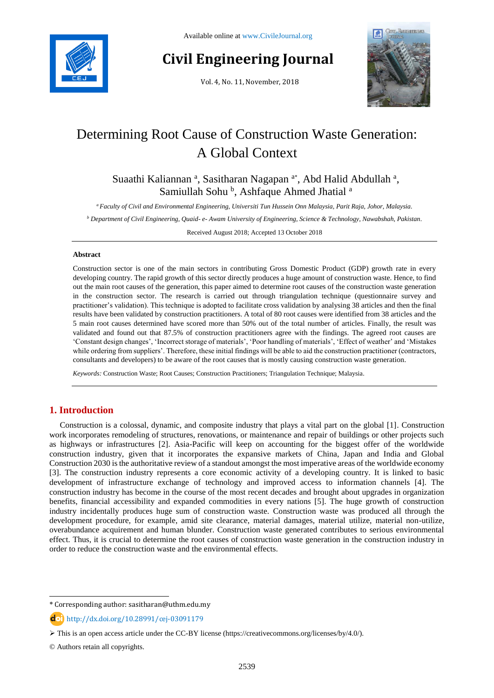

# **Civil Engineering Journal**

Vol. 4, No. 11, November, 2018



# Determining Root Cause of Construction Waste Generation: A Global Context

Suaathi Kaliannan<sup>a</sup>, Sasitharan Nagapan<sup>a\*</sup>, Abd Halid Abdullah<sup>a</sup>, Samiullah Sohu<sup>b</sup>, Ashfaque Ahmed Jhatial<sup>a</sup>

*<sup>a</sup> Faculty of Civil and Environmental Engineering, Universiti Tun Hussein Onn Malaysia, Parit Raja, Johor, Malaysia.*

*<sup>b</sup> Department of Civil Engineering, Quaid- e- Awam University of Engineering, Science & Technology, Nawabshah, Pakistan.*

Received August 2018; Accepted 13 October 2018

#### **Abstract**

Construction sector is one of the main sectors in contributing Gross Domestic Product (GDP) growth rate in every developing country. The rapid growth of this sector directly produces a huge amount of construction waste. Hence, to find out the main root causes of the generation, this paper aimed to determine root causes of the construction waste generation in the construction sector. The research is carried out through triangulation technique (questionnaire survey and practitioner's validation). This technique is adopted to facilitate cross validation by analysing 38 articles and then the final results have been validated by construction practitioners. A total of 80 root causes were identified from 38 articles and the 5 main root causes determined have scored more than 50% out of the total number of articles. Finally, the result was validated and found out that 87.5% of construction practitioners agree with the findings. The agreed root causes are 'Constant design changes', 'Incorrect storage of materials', 'Poor handling of materials', 'Effect of weather' and 'Mistakes while ordering from suppliers'. Therefore, these initial findings will be able to aid the construction practitioner (contractors, consultants and developers) to be aware of the root causes that is mostly causing construction waste generation.

*Keywords:* Construction Waste; Root Causes; Construction Practitioners; Triangulation Technique; Malaysia.

# **1. Introduction**

Construction is a colossal, dynamic, and composite industry that plays a vital part on the global [1]. Construction work incorporates remodeling of structures, renovations, or maintenance and repair of buildings or other projects such as highways or infrastructures [2]. Asia-Pacific will keep on accounting for the biggest offer of the worldwide construction industry, given that it incorporates the expansive markets of China, Japan and India and Global Construction 2030 is the authoritative review of a standout amongst the most imperative areas of the worldwide economy [3]. The construction industry represents a core economic activity of a developing country. It is linked to basic development of infrastructure exchange of technology and improved access to information channels [4]. The construction industry has become in the course of the most recent decades and brought about upgrades in organization benefits, financial accessibility and expanded commodities in every nations [5]. The huge growth of construction industry incidentally produces huge sum of construction waste. Construction waste was produced all through the development procedure, for example, amid site clearance, material damages, material utilize, material non-utilize, overabundance acquirement and human blunder. Construction waste generated contributes to serious environmental effect. Thus, it is crucial to determine the root causes of construction waste generation in the construction industry in order to reduce the construction waste and the environmental effects.

l

<sup>\*</sup> Corresponding author: sasitharan@uthm.edu.my

http://dx.doi.org/10.28991/cej-03091179

This is an open access article under the CC-BY license [\(https://creativecommons.org/licenses/by/4.0/\)](https://creativecommons.org/licenses/by/4.0/).

<sup>©</sup> Authors retain all copyrights.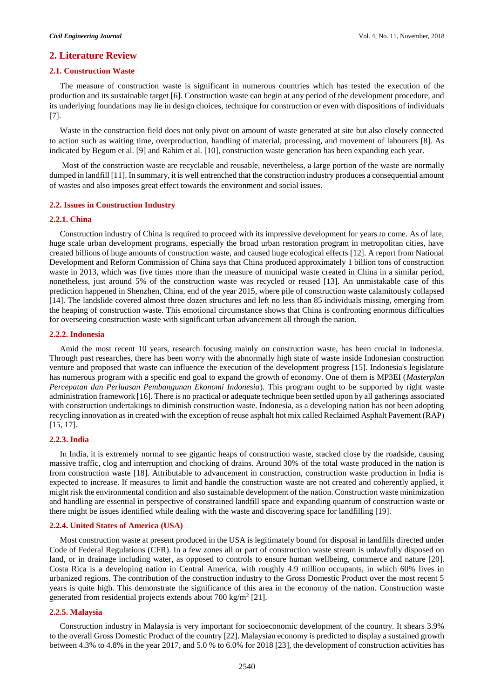#### **2. Literature Review**

#### **2.1. Construction Waste**

The measure of construction waste is significant in numerous countries which has tested the execution of the production and its sustainable target [6]. Construction waste can begin at any period of the development procedure, and its underlying foundations may lie in design choices, technique for construction or even with dispositions of individuals [7].

Waste in the construction field does not only pivot on amount of waste generated at site but also closely connected to action such as waiting time, overproduction, handling of material, processing, and movement of labourers [8]. As indicated by Begum et al. [9] and Rahim et al. [10], construction waste generation has been expanding each year.

Most of the construction waste are recyclable and reusable, nevertheless, a large portion of the waste are normally dumped in landfill [11]. In summary, it is well entrenched that the construction industry produces a consequential amount of wastes and also imposes great effect towards the environment and social issues.

### **2.2. Issues in Construction Industry**

#### **2.2.1. China**

Construction industry of China is required to proceed with its impressive development for years to come. As of late, huge scale urban development programs, especially the broad urban restoration program in metropolitan cities, have created billions of huge amounts of construction waste, and caused huge ecological effects [12]. A report from National Development and Reform Commission of China says that China produced approximately 1 billion tons of construction waste in 2013, which was five times more than the measure of municipal waste created in China in a similar period, nonetheless, just around 5% of the construction waste was recycled or reused [13]. An unmistakable case of this prediction happened in Shenzhen, China, end of the year 2015, where pile of construction waste calamitously collapsed [14]. The landslide covered almost three dozen structures and left no less than 85 individuals missing, emerging from the heaping of construction waste. This emotional circumstance shows that China is confronting enormous difficulties for overseeing construction waste with significant urban advancement all through the nation.

#### **2.2.2. Indonesia**

Amid the most recent 10 years, research focusing mainly on construction waste, has been crucial in Indonesia. Through past researches, there has been worry with the abnormally high state of waste inside Indonesian construction venture and proposed that waste can influence the execution of the development progress [15]. Indonesia's legislature has numerous program with a specific end goal to expand the growth of economy. One of them is MP3EI (*Masterplan Percepatan dan Perluasan Pembangunan Ekonomi Indonesia*). This program ought to be supported by right waste administration framework [16]. There is no practical or adequate technique been settled upon by all gatherings associated with construction undertakings to diminish construction waste. Indonesia, as a developing nation has not been adopting recycling innovation as in created with the exception of reuse asphalt hot mix called Reclaimed Asphalt Pavement (RAP) [15, 17].

#### **2.2.3. India**

In India, it is extremely normal to see gigantic heaps of construction waste, stacked close by the roadside, causing massive traffic, clog and interruption and chocking of drains. Around 30% of the total waste produced in the nation is from construction waste [18]. Attributable to advancement in construction, construction waste production in India is expected to increase. If measures to limit and handle the construction waste are not created and coherently applied, it might risk the environmental condition and also sustainable development of the nation. Construction waste minimization and handling are essential in perspective of constrained landfill space and expanding quantum of construction waste or there might be issues identified while dealing with the waste and discovering space for landfilling [19].

#### **2.2.4. United States of America (USA)**

Most construction waste at present produced in the USA is legitimately bound for disposal in landfills directed under Code of Federal Regulations (CFR). In a few zones all or part of construction waste stream is unlawfully disposed on land, or in drainage including water, as opposed to controls to ensure human wellbeing, commerce and nature [20]. Costa Rica is a developing nation in Central America, with roughly 4.9 million occupants, in which 60% lives in urbanized regions. The contribution of the construction industry to the Gross Domestic Product over the most recent 5 years is quite high. This demonstrate the significance of this area in the economy of the nation. Construction waste generated from residential projects extends about 700 kg/m<sup>2</sup> [21].

#### **2.2.5. Malaysia**

Construction industry in Malaysia is very important for socioeconomic development of the country. It shears 3.9% to the overall Gross Domestic Product of the country [22]. Malaysian economy is predicted to display a sustained growth between 4.3% to 4.8% in the year 2017, and 5.0 % to 6.0% for 2018 [23], the development of construction activities has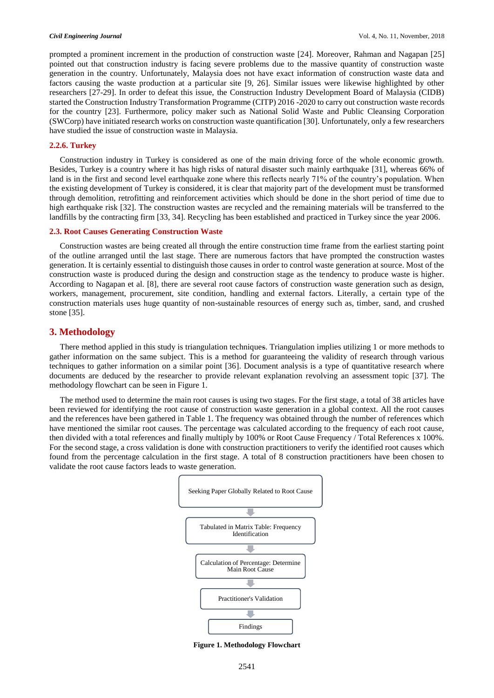prompted a prominent increment in the production of construction waste [24]. Moreover, Rahman and Nagapan [25] pointed out that construction industry is facing severe problems due to the massive quantity of construction waste generation in the country. Unfortunately, Malaysia does not have exact information of construction waste data and factors causing the waste production at a particular site [9, 26]. Similar issues were likewise highlighted by other researchers [27-29]. In order to defeat this issue, the Construction Industry Development Board of Malaysia (CIDB) started the Construction Industry Transformation Programme (CITP) 2016 -2020 to carry out construction waste records for the country [23]. Furthermore, policy maker such as National Solid Waste and Public Cleansing Corporation (SWCorp) have initiated research works on construction waste quantification [30]. Unfortunately, only a few researchers have studied the issue of construction waste in Malaysia.

#### **2.2.6. Turkey**

Construction industry in Turkey is considered as one of the main driving force of the whole economic growth. Besides, Turkey is a country where it has high risks of natural disaster such mainly earthquake [31], whereas 66% of land is in the first and second level earthquake zone where this reflects nearly 71% of the country's population. When the existing development of Turkey is considered, it is clear that majority part of the development must be transformed through demolition, retrofitting and reinforcement activities which should be done in the short period of time due to high earthquake risk [32]. The construction wastes are recycled and the remaining materials will be transferred to the landfills by the contracting firm [33, 34]. Recycling has been established and practiced in Turkey since the year 2006.

#### **2.3. Root Causes Generating Construction Waste**

Construction wastes are being created all through the entire construction time frame from the earliest starting point of the outline arranged until the last stage. There are numerous factors that have prompted the construction wastes generation. It is certainly essential to distinguish those causes in order to control waste generation at source. Most of the construction waste is produced during the design and construction stage as the tendency to produce waste is higher. According to Nagapan et al. [8], there are several root cause factors of construction waste generation such as design, workers, management, procurement, site condition, handling and external factors. Literally, a certain type of the construction materials uses huge quantity of non-sustainable resources of energy such as, timber, sand, and crushed stone [35].

#### **3. Methodology**

There method applied in this study is triangulation techniques. Triangulation implies utilizing 1 or more methods to gather information on the same subject. This is a method for guaranteeing the validity of research through various techniques to gather information on a similar point [36]. Document analysis is a type of quantitative research where documents are deduced by the researcher to provide relevant explanation revolving an assessment topic [37]. The methodology flowchart can be seen in Figure 1.

The method used to determine the main root causes is using two stages. For the first stage, a total of 38 articles have been reviewed for identifying the root cause of construction waste generation in a global context. All the root causes and the references have been gathered in Table 1. The frequency was obtained through the number of references which have mentioned the similar root causes. The percentage was calculated according to the frequency of each root cause, then divided with a total references and finally multiply by 100% or Root Cause Frequency / Total References x 100%. For the second stage, a cross validation is done with construction practitioners to verify the identified root causes which found from the percentage calculation in the first stage. A total of 8 construction practitioners have been chosen to validate the root cause factors leads to waste generation.



**Figure 1. Methodology Flowchart**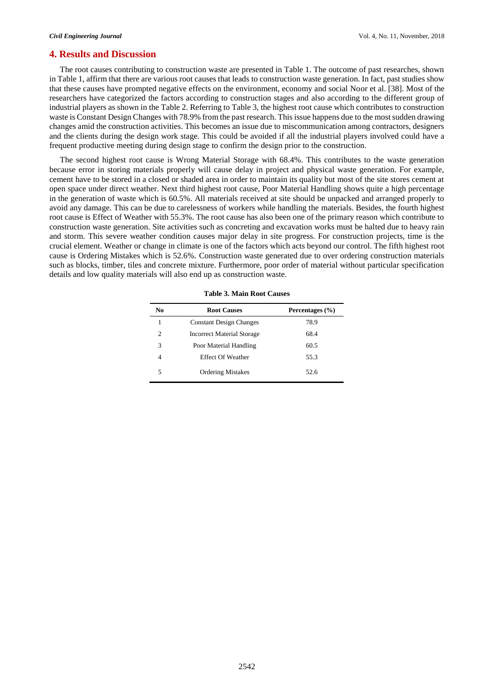### **4. Results and Discussion**

The root causes contributing to construction waste are presented in Table 1. The outcome of past researches, shown in Table 1, affirm that there are various root causes that leads to construction waste generation. In fact, past studies show that these causes have prompted negative effects on the environment, economy and social Noor et al. [38]. Most of the researchers have categorized the factors according to construction stages and also according to the different group of industrial players as shown in the Table 2. Referring to Table 3, the highest root cause which contributes to construction waste is Constant Design Changes with 78.9% from the past research. This issue happens due to the most sudden drawing changes amid the construction activities. This becomes an issue due to miscommunication among contractors, designers and the clients during the design work stage. This could be avoided if all the industrial players involved could have a frequent productive meeting during design stage to confirm the design prior to the construction.

The second highest root cause is Wrong Material Storage with 68.4%. This contributes to the waste generation because error in storing materials properly will cause delay in project and physical waste generation. For example, cement have to be stored in a closed or shaded area in order to maintain its quality but most of the site stores cement at open space under direct weather. Next third highest root cause, Poor Material Handling shows quite a high percentage in the generation of waste which is 60.5%. All materials received at site should be unpacked and arranged properly to avoid any damage. This can be due to carelessness of workers while handling the materials. Besides, the fourth highest root cause is Effect of Weather with 55.3%. The root cause has also been one of the primary reason which contribute to construction waste generation. Site activities such as concreting and excavation works must be halted due to heavy rain and storm. This severe weather condition causes major delay in site progress. For construction projects, time is the crucial element. Weather or change in climate is one of the factors which acts beyond our control. The fifth highest root cause is Ordering Mistakes which is 52.6%. Construction waste generated due to over ordering construction materials such as blocks, timber, tiles and concrete mixture. Furthermore, poor order of material without particular specification details and low quality materials will also end up as construction waste.

| No             | <b>Root Causes</b>                | Percentages $(\% )$ |
|----------------|-----------------------------------|---------------------|
| 1              | <b>Constant Design Changes</b>    | 78.9                |
| $\mathfrak{D}$ | <b>Incorrect Material Storage</b> | 68.4                |
| 3              | Poor Material Handling            | 60.5                |
|                | <b>Effect Of Weather</b>          | 55.3                |
| 5              | <b>Ordering Mistakes</b>          | 52.6                |

**Table 3. Main Root Causes**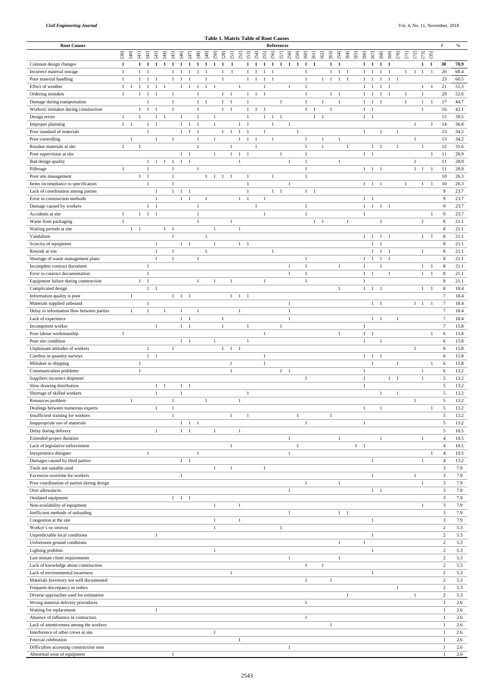|                                                           |                      |              |                    |                                |                |                |                     |                |                    |                |                |                |                                  | <b>Table 1. Matrix Table of Root Causes</b> |                     |                |                   |              |                |                |                                |              |                             |              |                  |                   |                                |                     |                     |                |              |                      |                                          |                 |              |
|-----------------------------------------------------------|----------------------|--------------|--------------------|--------------------------------|----------------|----------------|---------------------|----------------|--------------------|----------------|----------------|----------------|----------------------------------|---------------------------------------------|---------------------|----------------|-------------------|--------------|----------------|----------------|--------------------------------|--------------|-----------------------------|--------------|------------------|-------------------|--------------------------------|---------------------|---------------------|----------------|--------------|----------------------|------------------------------------------|-----------------|--------------|
| <b>Root Causes</b>                                        |                      |              |                    |                                |                |                |                     |                |                    |                |                |                |                                  |                                             |                     |                | <b>References</b> |              |                |                |                                |              |                             |              |                  |                   |                                |                     |                     |                |              |                      |                                          | $\mathbf F$     | $\%$         |
|                                                           | $[39]$               | $[40]$       | $\Xi$              | $[42]$<br>$[43]$               | $[4]$          | $[45]$         | $[46]$              | $[47]$         | $[48]$             | [49]           | [50]           | $[28]$         | $[5]$                            | $[53]$<br>$[52]$                            | $[54]$              | $[55]$         | [56]              | $[57]$       | $[58]$         | $[59]$<br>[60] | $[61]$                         | $[62]$       | $[63] \label{eq:2}$         | $[54]$       | $[64]$<br>$[65]$ | [66]              | $[67]$                         | $[68]$              | $[69]$              | $[70]$         | $[71]$       | $[73]$<br>$[2]$      | $[35]$                                   |                 |              |
| Constant design changes                                   | 1                    |              | $1 \quad 1$        |                                | $1\quad1$      | $\mathbf{1}$   | $\mathbf{1}$        | 1              | $\mathbf{1}$       | $\mathbf{1}$   | -1             | $\mathbf{1}$   | $\blacksquare$                   |                                             | $1 \quad 1$         | 1              | 1                 | $1\quad1$    |                | -1             | 1 1                            |              | $1\quad 1$                  |              |                  |                   | $1\quad1$                      | $1\quad 1$          |                     |                |              |                      | $1 \quad 1$                              | 30              | 78.9         |
| Incorrect material storage                                | -1                   |              | $\mathbf{1}$       | - 1                            |                | 1              | $\overline{1}$      | -1             | -1                 | $\overline{1}$ |                | 1              | - 1                              |                                             | $1 \quad 1$         | -1             | - 1               |              |                | 1              |                                |              | 1                           | $1\quad1$    |                  | $\mathbf{1}$      | -1                             | -1                  | $\overline{1}$      |                | $\mathbf{1}$ | -1<br>$\overline{1}$ | $\overline{\phantom{0}}$                 | 26              | 68.4         |
| Poor material handling                                    | $\overline{1}$       |              | $\mathbf{1}$       | $\mathbf{1}$<br>$\overline{1}$ | $\overline{1}$ |                | $1 \quad 1$         | $\overline{1}$ |                    | $\mathbf{1}$   |                | $\mathbf{1}$   | $\mathbf{1}$                     |                                             | $1 \quad 1$         | -1             | $\overline{1}$    |              | $\mathbf{1}$   | $\mathbf{1}$   |                                |              | $1 \quad 1 \quad 1 \quad 1$ |              |                  | 1                 | -1                             |                     | $1 \quad 1 \quad 1$ |                |              |                      |                                          | 23<br>21        | 60.5         |
| Effect of weather<br>Ordering mistakes                    | -1<br>$\overline{1}$ |              | -1<br>$\mathbf{1}$ | -1<br>-1<br>-1                 |                | $\mathbf{1}$   | 1                   | - 1            | -1<br>$\mathbf{1}$ | $\mathbf{1}$   | $\blacksquare$ | $1 \quad 1$    |                                  |                                             | $1 \quad 1 \quad 1$ | $\overline{1}$ |                   |              |                | -1<br>1        |                                |              | $1 \quad 1$                 |              |                  | $\mathbf{1}$      | -1<br>$1 \quad 1$              | -1<br>$1 \quad 1$   | -1                  |                | $\mathbf{1}$ | $\mathbf{1}$<br>1    | -1                                       | 20              | 55.3<br>52.6 |
| Damage during transportation                              |                      |              |                    |                                |                | 1              |                     |                | $1 \quad 1$        |                |                | $1 \quad 1$    |                                  |                                             |                     |                |                   | -1           |                | $\mathbf{1}$   |                                | 1            |                             | 1            |                  | $\mathbf{1}$      |                                | $1 \quad 1$         |                     |                | -1           | 1                    | - 1                                      | 17              | 44.7         |
| Workers' mistakes during construction                     |                      |              | $\mathbf{1}$       | <sup>1</sup><br>$\overline{1}$ |                | 1              |                     |                | 1                  |                |                | $1 \quad 1$    |                                  | $\mathbf{1}$                                | $\overline{1}$      | $\overline{1}$ |                   |              |                |                | $\mathbf{1}$<br>$\overline{1}$ |              | $\overline{1}$              |              |                  | $\mathbf{1}$      | -1                             |                     |                     |                |              | $\mathbf{1}$         |                                          | 16              | 42.1         |
| Design errors                                             | $\overline{1}$       |              | -1                 | -1                             | $\overline{1}$ |                | $\overline{1}$      |                | -1                 |                | -1             |                |                                  | -1                                          |                     | -1             | -1                | -1           |                |                |                                | $1 \quad 1$  |                             |              |                  |                   | $1 \quad 1$                    |                     |                     |                |              |                      |                                          | 15              | 39.5         |
| Improper planning                                         | $1 \quad 1$          |              |                    | $1 \quad 1$                    |                |                | $1 \quad 1$         |                | $\overline{1}$     |                | $\mathbf{1}$   |                |                                  | $1 \quad 1$                                 |                     |                | 1                 |              | $\overline{1}$ |                |                                |              |                             |              |                  |                   |                                |                     |                     |                |              | $\overline{1}$       | -1                                       | 14              | 36.8         |
| Poor standard of materials                                |                      |              |                    | $\overline{1}$                 |                |                | $1 \quad 1$         |                | $\overline{1}$     |                |                | $1 \quad 1$    |                                  | $1 \quad 1$                                 |                     | -1             |                   |              |                | -1             |                                |              |                             |              |                  | $\mathbf{1}$      |                                | 1                   |                     | -1             |              |                      |                                          | 13              | 34.2         |
| Poor controlling                                          |                      | $\mathbf{1}$ |                    | 1                              |                | $\mathbf{1}$   |                     |                | 1                  |                | $\mathbf{1}$   |                |                                  | $1 \quad 1 \quad 1$                         |                     |                | $\mathbf{1}$      |              |                | $\mathbf{1}$   |                                | $\mathbf{1}$ |                             | 1            |                  |                   |                                |                     |                     |                |              | 1                    |                                          | 13              | 34.2         |
| Residue materials at site                                 | $\overline{1}$       |              | -1                 |                                |                |                |                     |                | $\overline{1}$     |                |                |                | 1                                |                                             | $\mathbf{1}$        |                |                   |              |                | -1             |                                | $\mathbf{1}$ |                             |              | $\mathbf{1}$     |                   |                                | $1 \quad 1$         |                     | 1              |              | 1                    |                                          | 12              | 31.6         |
| Poor supervision at site                                  |                      |              |                    |                                |                |                | $1 \quad 1$         |                |                    |                | $\mathbf{1}$   |                | $1 \quad 1$                      | -1                                          |                     |                |                   | $\mathbf{1}$ |                | $\mathbf{1}$   |                                |              |                             |              |                  |                   | $1 \quad 1$                    |                     |                     |                |              |                      | $\mathbf{1}$                             | 11              | 28.9         |
| Bad design quality                                        |                      |              |                    | $1 \quad 1$                    |                | $1 \quad 1$    | $1 \quad 1$         |                |                    |                |                |                | $\mathbf{1}$                     |                                             |                     |                |                   |              | -1             | $\overline{1}$ |                                |              |                             | 1            |                  |                   |                                |                     |                     |                |              |                      |                                          | 11              | 28.9         |
| Pilferage                                                 | -1                   |              |                    | -1                             |                | -1             |                     |                | -1                 |                |                |                |                                  |                                             |                     |                |                   |              |                | $\mathbf{1}$   |                                |              |                             |              |                  | $\mathbf{1}$      | $1 \quad 1$                    |                     |                     |                |              | $1 \quad 1$          | -1                                       | 11              | 28.9         |
| Poor site management                                      |                      |              | $\mathbf{1}$       | - 1                            |                | -1             |                     |                |                    | 1              | $\overline{1}$ | -1<br>- 1      |                                  | -1                                          |                     |                | -1                |              |                | 1              |                                |              |                             |              |                  |                   |                                |                     |                     |                |              |                      |                                          | 10              | 26.3         |
| Items incompliance to specification                       |                      |              |                    | $\mathbf{1}$                   |                | $\mathbf{1}$   |                     |                |                    |                |                |                |                                  | $\mathbf{1}$                                |                     |                |                   |              | $\overline{1}$ |                |                                |              |                             |              |                  |                   | $1\quad 1\quad 1$              |                     |                     |                | 1            |                      | $\mathbf{1}$<br>$\overline{\phantom{a}}$ | 10              | 26.3         |
| Lack of coordination among parties                        |                      |              |                    | -1                             |                |                | $1 \quad 1$         | $\overline{1}$ |                    |                |                |                |                                  | -1                                          |                     |                | $1 \quad 1$       |              |                |                | $1 \quad 1$                    |              |                             |              |                  |                   |                                |                     |                     |                |              |                      |                                          | 9               | 23.7         |
| Error in construction methods                             |                      |              |                    | 1                              |                |                | $1 \quad 1$         |                |                    | $\mathbf{1}$   |                |                |                                  | 1<br>-1                                     |                     | -1             |                   |              |                |                |                                |              |                             |              |                  |                   | $1 \quad 1$                    |                     |                     |                |              |                      |                                          | 9               | 23.7         |
| Damage caused by workers                                  |                      |              |                    | $1 \quad 1$                    |                |                |                     |                | 1                  |                |                |                |                                  |                                             | -1                  |                |                   |              |                | 1              |                                |              |                             |              |                  | $\mathbf{1}$      | -1                             | $1 \quad 1$         |                     |                |              |                      |                                          | 9               | 23.7         |
| Accidents at site                                         | $\mathbf{1}$         |              |                    | $1 \quad 1 \quad 1$            |                |                |                     |                | -1                 |                |                |                |                                  |                                             |                     | $\overline{1}$ |                   |              |                | -1             |                                |              |                             |              |                  | 1                 |                                |                     |                     |                |              |                      | 1                                        | 9               | 23.7         |
| Waste from packaging                                      | -1                   |              |                    |                                |                |                |                     |                | $\overline{1}$     |                |                |                | $\mathbf{1}$                     |                                             |                     |                |                   |              |                |                |                                | $1 \quad 1$  |                             |              | $\overline{1}$   |                   |                                | $\mathbf{1}$        |                     |                |              | -1                   |                                          | 8               | 21.1         |
| Waiting periods at site                                   |                      | $1 \quad 1$  |                    |                                |                | $1 \quad 1$    |                     |                |                    |                | 1              |                | $\overline{1}$                   |                                             |                     |                |                   |              |                |                |                                |              |                             |              |                  |                   |                                |                     |                     |                |              |                      |                                          | 8               | 21.1         |
| Vandalism                                                 |                      |              |                    |                                |                | $\overline{1}$ |                     |                |                    | -1             |                |                |                                  |                                             |                     |                |                   |              |                |                |                                |              |                             |              |                  | $\mathbf{1}$      | -1                             | $\mathbf{1}$        | - 1                 |                |              | $\mathbf{1}$         | -1                                       | 8               | 21.1         |
| Scarcity of equipment                                     |                      |              |                    | -1                             |                |                | $1 \quad 1$         |                |                    |                | -1             |                |                                  | $1 \quad 1$                                 |                     |                |                   |              |                |                |                                |              |                             |              |                  |                   |                                | $1 \quad 1$         |                     |                |              |                      |                                          | 8               | 21.1         |
| Rework at site                                            |                      |              |                    | -1                             |                | -1             |                     |                |                    | -1             |                |                |                                  |                                             |                     |                | 1                 |              |                |                |                                |              |                             |              |                  |                   |                                | $1 \quad 1 \quad 1$ |                     |                |              | -1                   |                                          | 8               | 21.1         |
| Shortage of waste management plans                        |                      |              |                    | 1                              |                | 1              |                     |                | -1                 |                |                |                |                                  |                                             |                     |                |                   |              |                | 1              |                                |              |                             |              |                  | 1                 |                                | $1 \quad 1 \quad 1$ |                     |                |              |                      |                                          | 8               | 21.1         |
| Incomplete contract document                              |                      |              |                    | -1                             |                |                |                     |                |                    |                |                |                |                                  |                                             |                     |                |                   |              | -1             | 1              |                                |              |                             | 1            |                  | $\mathbf{1}$      |                                | -1                  |                     |                |              | 1                    | -1                                       | 8               | 21.1         |
| Error in contract documentation                           |                      |              |                    | 1                              |                |                |                     |                |                    |                |                |                |                                  |                                             |                     |                |                   |              | 1              | -1             |                                |              |                             |              |                  | $\mathbf{1}$      | $\overline{1}$                 |                     | 1                   |                |              | $\mathbf{1}$         | $\overline{1}$                           | 8               | 21.1         |
| Equipment failure during construction                     |                      |              | $1 \quad 1$        |                                |                |                |                     |                | -1                 |                |                |                | $\mathbf{1}$                     |                                             |                     | -1             |                   |              |                | 1              |                                |              |                             |              |                  | 1                 |                                |                     |                     |                |              |                      |                                          | 8               | 21.1         |
| Complicated design                                        |                      |              |                    | $1 \quad 1$                    |                |                |                     |                |                    |                |                |                |                                  |                                             |                     |                |                   |              |                |                |                                |              |                             | $\mathbf{1}$ |                  | $\mathbf{1}$      | $\mathbf{1}$                   | $\overline{1}$      |                     |                |              | $\mathbf{1}$         | -1                                       | 8               | 18.4         |
| Information quality is poor                               |                      |              |                    |                                |                | 1              | -1                  | $\overline{1}$ |                    |                |                |                | $1 \quad 1$                      | -1                                          |                     |                |                   |              |                |                |                                |              |                             |              |                  |                   |                                |                     |                     |                |              |                      |                                          | $\tau$          | 18.4         |
| Materials supplied unbound                                |                      |              |                    | 1                              |                |                |                     |                |                    |                |                |                |                                  |                                             |                     |                |                   |              | $\overline{1}$ |                |                                |              |                             |              |                  |                   |                                | $1 \quad 1$         |                     |                |              | $1 \quad 1$          | $\overline{1}$                           | $\overline{7}$  | 18.4         |
| Delay in information flow between parties                 |                      | $\mathbf{1}$ |                    | $\overline{1}$                 | -1             |                | -1                  |                | -1                 |                |                |                | $\overline{1}$                   |                                             |                     |                |                   |              | -1             |                |                                |              |                             |              |                  |                   |                                |                     |                     |                |              |                      |                                          | $\overline{7}$  | 18.4         |
| Lack of experience                                        |                      |              |                    |                                |                |                | $1 \quad 1$         |                |                    |                |                | 1              |                                  |                                             |                     |                |                   |              | $\overline{1}$ |                |                                |              |                             |              |                  |                   |                                | $1 \quad 1$         |                     | $\overline{1}$ |              |                      |                                          | $\overline{7}$  | 18.4         |
| Incompetent worker                                        |                      |              |                    | -1                             |                |                | $1 \quad 1$         |                |                    |                |                | $\overline{1}$ |                                  |                                             |                     |                |                   | -1           |                |                |                                |              |                             |              |                  | 1                 |                                |                     |                     |                |              |                      |                                          | $7\phantom{.0}$ | 15.8         |
| Poor labour workmanship                                   | 1                    |              |                    |                                |                |                |                     |                |                    |                |                |                |                                  |                                             |                     | $\overline{1}$ |                   |              |                |                |                                |              |                             | $\mathbf{1}$ |                  | $\mathbf{1}$      | $\overline{1}$                 |                     |                     |                |              |                      | -1                                       | 6               | 15.8         |
| Poor site condition                                       |                      |              |                    |                                |                |                | $1 \quad 1$         |                |                    |                | 1              |                |                                  |                                             |                     |                |                   |              |                |                |                                |              |                             |              |                  | 1                 |                                | $\mathbf{1}$        |                     |                |              |                      |                                          | 6               | 15.8         |
| Unpleasant attitudes of workers                           |                      |              |                    | 1                              |                | -1             |                     |                |                    |                |                | $\mathbf{1}$   | $\overline{1}$<br>$\overline{1}$ |                                             |                     |                |                   |              |                |                |                                |              |                             |              |                  |                   |                                |                     |                     |                |              |                      |                                          | 6               | 15.8         |
| Careless in quantity surveys                              |                      |              |                    | $1 \quad 1$                    |                |                |                     |                |                    |                |                |                |                                  |                                             |                     |                |                   |              |                |                |                                |              |                             |              |                  | $\mathbf{1}$      | $\mathbf{1}$<br>$\overline{1}$ | $\overline{1}$      |                     |                |              |                      |                                          | 6               | 15.8         |
| Mistakes in shipping                                      |                      |              | 1                  |                                |                |                |                     |                |                    |                |                |                | 1                                |                                             |                     | $\overline{1}$ |                   |              | $\overline{1}$ |                |                                |              |                             |              |                  |                   |                                |                     |                     | $\overline{1}$ |              |                      | $\overline{1}$                           | 6               | 15.8         |
| Communication problems                                    |                      |              | -1                 |                                |                |                |                     |                |                    |                |                |                | 1                                |                                             |                     |                |                   | 1            |                | 1              |                                |              |                             |              |                  | 1<br>$\mathbf{1}$ |                                |                     | $1 \quad 1$         |                |              | 1<br>$\mathbf{1}$    |                                          | 6<br>5          | 13.2<br>13.2 |
| Suppliers incorrect shipment<br>Slow drawing distribution |                      |              |                    | 1                              | $\overline{1}$ |                |                     | $\overline{1}$ |                    |                |                |                |                                  |                                             |                     |                |                   |              |                |                |                                |              |                             |              |                  | 1                 |                                |                     |                     |                |              |                      |                                          | 5               | 13.2         |
|                                                           |                      |              |                    | 1                              |                |                | 1<br>1              |                |                    |                |                |                |                                  | -1                                          |                     |                |                   |              |                |                |                                |              |                             |              |                  |                   |                                | 1                   |                     | $\overline{1}$ |              |                      |                                          | 5               | 13.2         |
| Shortage of skilled workers<br>Resources problem          |                      | 1            |                    |                                |                | $\overline{1}$ |                     |                |                    | -1             |                |                | $\mathbf{1}$                     |                                             |                     |                |                   |              |                |                |                                |              |                             |              |                  |                   |                                |                     |                     |                |              |                      |                                          | 5               | 13.2         |
| Dealings between numerous experts                         |                      |              |                    | $\mathbf{1}$                   |                |                |                     |                |                    |                |                |                |                                  |                                             |                     |                |                   |              |                |                |                                |              |                             |              |                  | $\overline{1}$    |                                | $\mathbf{1}$        |                     |                |              |                      | $\overline{1}$                           | 5               | 13.2         |
| Insufficient training for workers                         |                      |              |                    |                                |                | -1             |                     |                |                    |                |                |                | -1                               |                                             |                     |                |                   |              |                | -1             |                                |              |                             |              |                  |                   |                                |                     |                     |                |              |                      |                                          | 5               | 13.2         |
| Inappropriate use of materials                            |                      |              |                    |                                |                |                | $1 \quad 1$         |                | $\overline{1}$     |                |                |                |                                  |                                             |                     |                |                   |              |                | $\mathbf{1}$   |                                |              |                             |              |                  | 1                 |                                |                     |                     |                |              |                      |                                          | 5               | 13.2         |
| Delay during delivery                                     |                      |              |                    | -1                             |                |                | $1 \quad 1$         |                |                    |                | -1             |                | -1                               |                                             |                     |                |                   |              |                |                |                                |              |                             |              |                  |                   |                                |                     |                     |                |              |                      |                                          | 5               | 10.5         |
| Extended project duration                                 |                      |              |                    |                                |                |                |                     |                |                    |                |                |                |                                  |                                             |                     |                |                   |              | $\overline{1}$ |                |                                |              |                             | 1            |                  |                   |                                | $\mathbf{1}$        |                     |                |              | 1                    |                                          | $\overline{4}$  | 10.5         |
| Lack of legislative enforcement                           |                      |              |                    |                                |                |                |                     |                |                    |                |                |                | -1                               |                                             |                     |                |                   |              |                |                |                                |              |                             |              |                  | $1 \quad 1$       |                                |                     |                     |                |              |                      |                                          | $\overline{4}$  | 10.5         |
| Inexperience designer                                     |                      |              |                    | $\overline{1}$                 |                |                |                     |                | -1                 |                |                |                |                                  |                                             |                     |                |                   |              | $\overline{1}$ |                |                                |              |                             |              |                  |                   |                                |                     |                     |                |              |                      | $\overline{1}$                           | $\overline{4}$  | 10.5         |
| Damages caused by third parties                           |                      |              |                    |                                |                |                | $\mathbf{1}$        | $\overline{1}$ |                    |                |                |                |                                  |                                             |                     |                |                   |              |                |                |                                |              |                             |              |                  |                   |                                |                     |                     |                |              | -1                   |                                          | $\overline{4}$  | 13.2         |
| Tools not suitable used                                   |                      |              |                    |                                |                |                |                     |                |                    |                |                |                | $\mathbf{1}$                     |                                             |                     |                |                   |              |                |                |                                |              |                             |              |                  |                   |                                |                     |                     |                |              |                      |                                          | 3               | 7.9          |
| Excessive overtime for workers                            |                      |              |                    |                                |                |                | -1                  |                |                    |                |                |                |                                  |                                             |                     |                |                   |              |                |                |                                |              |                             |              |                  |                   |                                |                     |                     |                |              |                      |                                          | 3               | 7.9          |
| Poor coordination of parties during design                |                      |              |                    |                                |                |                |                     |                |                    |                |                |                |                                  |                                             |                     |                |                   |              |                | 1              |                                |              |                             | $\mathbf{1}$ |                  |                   |                                |                     |                     |                |              | $\overline{1}$       |                                          | 3               | 7.9          |
| Over allowances                                           |                      |              |                    |                                |                |                |                     |                |                    |                |                |                |                                  |                                             |                     |                |                   |              |                |                |                                |              |                             |              |                  |                   |                                | $1 \quad 1$         |                     |                |              |                      |                                          | 3               | 7.9          |
| Outdated equipment                                        |                      |              |                    |                                |                |                | $1 \quad 1 \quad 1$ |                |                    |                |                |                |                                  |                                             |                     |                |                   |              |                |                |                                |              |                             |              |                  |                   |                                |                     |                     |                |              |                      |                                          | 3               | 7.9          |
| Non-availability of equipment                             |                      |              |                    |                                |                |                |                     |                |                    |                | 1              |                | 1                                |                                             |                     |                |                   |              |                |                |                                |              |                             |              |                  |                   |                                |                     |                     |                |              |                      |                                          | 3               | 7.9          |
| Inefficient methods of unloading                          |                      |              |                    |                                |                |                |                     |                |                    |                |                |                |                                  |                                             |                     |                |                   |              |                |                |                                |              |                             | $1 \quad 1$  |                  |                   |                                |                     |                     |                |              |                      |                                          | 3               | 7.9          |
| Congestion at the site                                    |                      |              |                    |                                |                |                |                     |                |                    |                |                |                | 1                                |                                             |                     |                |                   |              |                |                |                                |              |                             |              |                  |                   |                                |                     |                     |                |              |                      |                                          | 3               | 7.9          |
| Worker's no interest                                      |                      |              |                    |                                |                |                |                     |                |                    |                |                |                |                                  |                                             |                     |                |                   | -1           |                |                |                                |              |                             |              |                  |                   |                                |                     |                     |                |              |                      |                                          | $\overline{2}$  | 5.3          |
| Unpredictable local conditions                            |                      |              |                    | -1                             |                |                |                     |                |                    |                |                |                |                                  |                                             |                     |                |                   |              |                |                |                                |              |                             |              |                  |                   |                                |                     |                     |                |              |                      |                                          | $\overline{c}$  | 5.3          |
| Unforeseen ground conditions                              |                      |              |                    |                                |                |                |                     |                |                    |                |                |                |                                  |                                             |                     |                |                   |              |                |                |                                |              |                             | 1            |                  | 1                 |                                |                     |                     |                |              |                      |                                          | $\overline{2}$  | 5.3          |
| Lighting problem                                          |                      |              |                    |                                |                |                |                     |                |                    |                | 1              |                |                                  |                                             |                     |                |                   |              |                |                |                                |              |                             |              |                  |                   |                                |                     |                     |                |              |                      |                                          | 2               | 5.3          |
| Last minute client requirements                           |                      |              |                    |                                |                |                |                     |                |                    |                |                |                |                                  |                                             |                     |                |                   |              | $\overline{1}$ |                |                                |              |                             |              |                  |                   |                                |                     |                     |                |              |                      |                                          | 2               | 5.3          |
| Lack of knowledge about construction                      |                      |              |                    |                                |                |                |                     |                |                    |                |                |                |                                  |                                             |                     |                |                   |              |                |                | $\mathbf{1}$                   | -1           |                             |              |                  |                   |                                |                     |                     |                |              |                      |                                          | $\overline{2}$  | 5.3          |
| Lack of environmental awareness                           |                      |              |                    |                                |                |                |                     |                |                    |                |                |                | $\mathbf{1}$                     |                                             |                     |                |                   |              |                |                |                                |              |                             |              |                  |                   | $\mathbf{1}$                   |                     |                     |                |              |                      |                                          | $\overline{2}$  | 5.3          |
| Materials Inventory not well documented                   |                      |              |                    |                                |                |                |                     |                |                    |                |                |                |                                  |                                             |                     |                |                   |              |                |                | 1                              |              | $\overline{1}$              |              |                  |                   |                                |                     |                     |                |              |                      |                                          | $\overline{2}$  | 5.3          |
| Frequent discrepancy in orders                            |                      |              |                    |                                |                |                |                     |                |                    |                |                |                |                                  |                                             |                     |                |                   |              |                |                |                                |              |                             |              |                  |                   |                                |                     |                     |                |              |                      |                                          | $\overline{2}$  | 5.3          |
| Diverse approaches used for estimation                    |                      |              |                    |                                |                |                |                     |                |                    |                |                |                |                                  |                                             |                     |                |                   |              |                |                |                                |              |                             |              | -1               |                   |                                |                     |                     |                |              |                      |                                          | $\overline{2}$  | 5.3          |
| Wrong material delivery procedures                        |                      |              |                    |                                |                |                |                     |                |                    |                |                |                |                                  |                                             |                     |                |                   |              |                | 1              |                                |              |                             |              |                  |                   |                                |                     |                     |                |              |                      |                                          | $\mathbf{1}$    | 2.6          |
| Waiting for replacement                                   |                      |              |                    | $\mathbf{1}$                   |                |                |                     |                |                    |                |                |                |                                  |                                             |                     |                |                   |              |                |                |                                |              |                             |              |                  |                   |                                |                     |                     |                |              |                      |                                          | $\overline{1}$  | 2.6          |
| Absence of influence in contractors                       |                      |              |                    |                                |                |                |                     |                |                    |                |                |                |                                  |                                             |                     |                |                   |              |                |                | 1                              |              |                             |              |                  |                   |                                |                     |                     |                |              |                      |                                          | $\overline{1}$  | 2.6          |
| Lack of attentiveness among the workers                   |                      |              |                    |                                |                |                |                     |                |                    |                |                |                |                                  |                                             |                     |                |                   |              |                |                |                                |              |                             |              |                  |                   |                                |                     |                     |                |              |                      |                                          | -1              | 2.6          |
| Interference of other crews at site                       |                      |              |                    |                                |                |                |                     |                |                    |                | 1              |                |                                  |                                             |                     |                |                   |              |                |                |                                |              |                             |              |                  |                   |                                |                     |                     |                |              |                      |                                          | $\overline{1}$  | 2.6          |
| Festival celebration                                      |                      |              |                    |                                |                |                |                     |                |                    |                |                |                | 1                                |                                             |                     |                |                   |              |                |                |                                |              |                             |              |                  |                   |                                |                     |                     |                |              |                      |                                          | $\overline{1}$  | 2.6          |
| Difficulties accessing construction sites                 |                      |              |                    |                                |                |                |                     |                |                    |                |                |                |                                  |                                             |                     |                |                   |              |                |                |                                |              |                             |              |                  |                   |                                |                     |                     |                |              |                      |                                          |                 | 2.6          |
| Abnormal wear of equipment                                |                      |              |                    |                                |                |                |                     |                |                    |                |                |                |                                  |                                             |                     |                |                   |              |                |                |                                |              |                             |              |                  |                   |                                |                     |                     |                |              |                      |                                          |                 | 2.6          |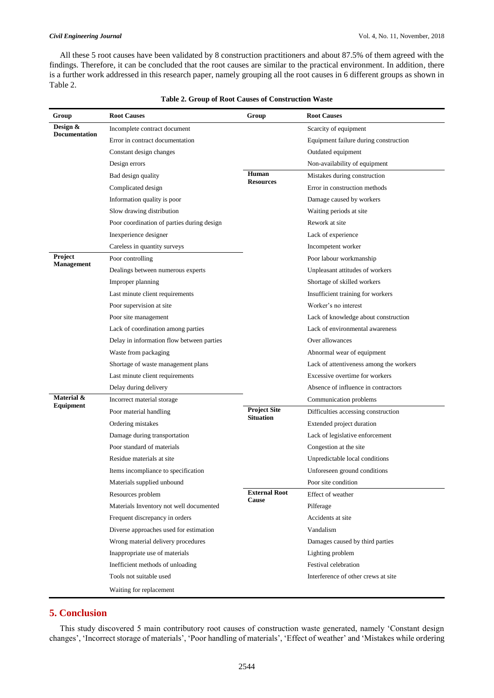All these 5 root causes have been validated by 8 construction practitioners and about 87.5% of them agreed with the findings. Therefore, it can be concluded that the root causes are similar to the practical environment. In addition, there is a further work addressed in this research paper, namely grouping all the root causes in 6 different groups as shown in Table 2.

| Group                            | <b>Root Causes</b>                         | Group                                   | <b>Root Causes</b>                      |  |  |  |  |  |  |  |  |
|----------------------------------|--------------------------------------------|-----------------------------------------|-----------------------------------------|--|--|--|--|--|--|--|--|
| Design &<br><b>Documentation</b> | Incomplete contract document               |                                         | Scarcity of equipment                   |  |  |  |  |  |  |  |  |
|                                  | Error in contract documentation            |                                         | Equipment failure during construction   |  |  |  |  |  |  |  |  |
|                                  | Constant design changes                    |                                         | Outdated equipment                      |  |  |  |  |  |  |  |  |
|                                  | Design errors                              |                                         | Non-availability of equipment           |  |  |  |  |  |  |  |  |
|                                  | Bad design quality                         | Human<br><b>Resources</b>               | Mistakes during construction            |  |  |  |  |  |  |  |  |
|                                  | Complicated design                         |                                         | Error in construction methods           |  |  |  |  |  |  |  |  |
|                                  | Information quality is poor                |                                         | Damage caused by workers                |  |  |  |  |  |  |  |  |
|                                  | Slow drawing distribution                  |                                         | Waiting periods at site                 |  |  |  |  |  |  |  |  |
|                                  | Poor coordination of parties during design |                                         | Rework at site                          |  |  |  |  |  |  |  |  |
|                                  | Inexperience designer                      |                                         | Lack of experience                      |  |  |  |  |  |  |  |  |
|                                  | Careless in quantity surveys               |                                         | Incompetent worker                      |  |  |  |  |  |  |  |  |
| Project<br><b>Management</b>     | Poor controlling                           |                                         | Poor labour workmanship                 |  |  |  |  |  |  |  |  |
|                                  | Dealings between numerous experts          |                                         | Unpleasant attitudes of workers         |  |  |  |  |  |  |  |  |
|                                  | Improper planning                          |                                         | Shortage of skilled workers             |  |  |  |  |  |  |  |  |
|                                  | Last minute client requirements            |                                         | Insufficient training for workers       |  |  |  |  |  |  |  |  |
|                                  | Poor supervision at site                   |                                         | Worker's no interest                    |  |  |  |  |  |  |  |  |
|                                  | Poor site management                       |                                         | Lack of knowledge about construction    |  |  |  |  |  |  |  |  |
|                                  | Lack of coordination among parties         |                                         | Lack of environmental awareness         |  |  |  |  |  |  |  |  |
|                                  | Delay in information flow between parties  |                                         | Over allowances                         |  |  |  |  |  |  |  |  |
|                                  | Waste from packaging                       |                                         | Abnormal wear of equipment              |  |  |  |  |  |  |  |  |
|                                  | Shortage of waste management plans         |                                         | Lack of attentiveness among the workers |  |  |  |  |  |  |  |  |
|                                  | Last minute client requirements            |                                         | Excessive overtime for workers          |  |  |  |  |  |  |  |  |
|                                  | Delay during delivery                      |                                         | Absence of influence in contractors     |  |  |  |  |  |  |  |  |
| Material &<br>Equipment          | Incorrect material storage                 |                                         | Communication problems                  |  |  |  |  |  |  |  |  |
|                                  | Poor material handling                     | <b>Project Site</b><br><b>Situation</b> | Difficulties accessing construction     |  |  |  |  |  |  |  |  |
|                                  | Ordering mistakes                          |                                         | Extended project duration               |  |  |  |  |  |  |  |  |
|                                  | Damage during transportation               |                                         | Lack of legislative enforcement         |  |  |  |  |  |  |  |  |
|                                  | Poor standard of materials                 |                                         | Congestion at the site                  |  |  |  |  |  |  |  |  |
|                                  | Residue materials at site                  |                                         | Unpredictable local conditions          |  |  |  |  |  |  |  |  |
|                                  | Items incompliance to specification        |                                         | Unforeseen ground conditions            |  |  |  |  |  |  |  |  |
|                                  | Materials supplied unbound                 |                                         | Poor site condition                     |  |  |  |  |  |  |  |  |
|                                  | Resources problem                          | <b>External Root</b><br>Cause           | Effect of weather                       |  |  |  |  |  |  |  |  |
|                                  | Materials Inventory not well documented    |                                         | Pilferage                               |  |  |  |  |  |  |  |  |
|                                  | Frequent discrepancy in orders             |                                         | Accidents at site                       |  |  |  |  |  |  |  |  |
|                                  | Diverse approaches used for estimation     |                                         | Vandalism                               |  |  |  |  |  |  |  |  |
|                                  | Wrong material delivery procedures         |                                         | Damages caused by third parties         |  |  |  |  |  |  |  |  |
|                                  | Inappropriate use of materials             |                                         | Lighting problem                        |  |  |  |  |  |  |  |  |
|                                  | Inefficient methods of unloading           |                                         | Festival celebration                    |  |  |  |  |  |  |  |  |
|                                  | Tools not suitable used                    |                                         | Interference of other crews at site     |  |  |  |  |  |  |  |  |
|                                  | Waiting for replacement                    |                                         |                                         |  |  |  |  |  |  |  |  |

### **Table 2. Group of Root Causes of Construction Waste**

# **5. Conclusion**

This study discovered 5 main contributory root causes of construction waste generated, namely 'Constant design changes', 'Incorrect storage of materials', 'Poor handling of materials', 'Effect of weather' and 'Mistakes while ordering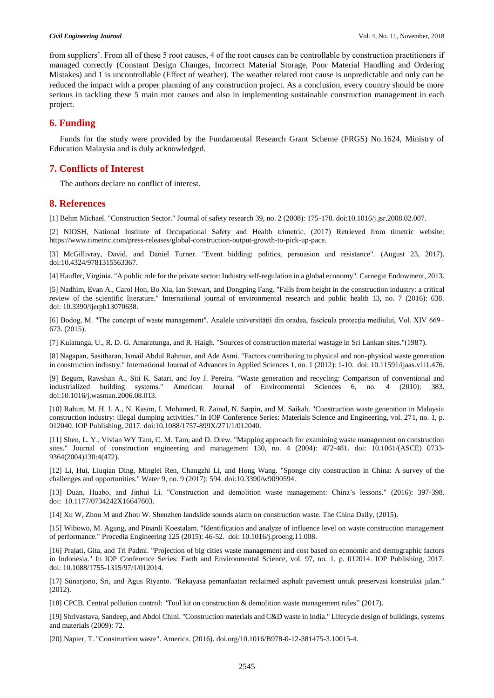from suppliers'. From all of these 5 root causes, 4 of the root causes can be controllable by construction practitioners if managed correctly (Constant Design Changes, Incorrect Material Storage, Poor Material Handling and Ordering Mistakes) and 1 is uncontrollable (Effect of weather). The weather related root cause is unpredictable and only can be reduced the impact with a proper planning of any construction project. As a conclusion, every country should be more serious in tackling these 5 main root causes and also in implementing sustainable construction management in each project.

## **6. Funding**

Funds for the study were provided by the Fundamental Research Grant Scheme (FRGS) No.1624, Ministry of Education Malaysia and is duly acknowledged.

## **7. Conflicts of Interest**

The authors declare no conflict of interest.

#### **8. References**

[1] Behm Michael. "Construction Sector." Journal of safety research 39, no. 2 (2008): 175-178. doi:10.1016/j.jsr.2008.02.007.

[2] NIOSH, National Institute of Occupational Safety and Health trimetric. (2017) Retrieved from timetric website: https://www.timetric.com/press-releases/global-construction-output-growth-to-pick-up-pace.

[3] McGillivray, David, and Daniel Turner. "Event bidding: politics, persuasion and resistance". (August 23, 2017). doi:10.4324/9781315563367.

[4] Haufler, Virginia. "A public role for the private sector: Industry self-regulation in a global economy". Carnegie Endowment, 2013.

[5] Nadhim, Evan A., Carol Hon, Bo Xia, Ian Stewart, and Dongping Fang. "Falls from height in the construction industry: a critical review of the scientific literature." International journal of environmental research and public health 13, no. 7 (2016): 638. doi: 10.3390/ijerph13070638.

[6] Bodog, M. "The concept of waste management". Analele universităţii din oradea, fascicula protecţia mediului, Vol. XIV 669– 673. (2015).

[7] Kulatunga, U., R. D. G. Amaratunga, and R. Haigh. "Sources of construction material wastage in Sri Lankan sites."(1987).

[8] Nagapan, Sasitharan, Ismail Abdul Rahman, and Ade Asmi. "Factors contributing to physical and non-physical waste generation in construction industry." International Journal of Advances in Applied Sciences 1, no. 1 (2012): 1-10. doi: 10.11591/ijaas.v1i1.476.

[9] Begum, Rawshan A., Siti K. Satari, and Joy J. Pereira. "Waste generation and recycling: Comparison of conventional and industrialized building systems." American Journal of Environmental Sciences 6, no. 4 (2010): 383. doi:10.1016/j.wasman.2006.08.013.

[10] Rahim, M. H. I. A., N. Kasim, I. Mohamed, R. Zainal, N. Sarpin, and M. Saikah. "Construction waste generation in Malaysia construction industry: illegal dumping activities." In IOP Conference Series: Materials Science and Engineering, vol. 271, no. 1, p. 012040. IOP Publishing, 2017. doi:10.1088/1757-899X/271/1/012040.

[11] Shen, L. Y., Vivian WY Tam, C. M. Tam, and D. Drew. "Mapping approach for examining waste management on construction sites." Journal of construction engineering and management 130, no. 4 (2004): 472-481. doi: 10.1061/(ASCE) 0733- 9364(2004)130:4(472).

[12] Li, Hui, Liuqian Ding, Minglei Ren, Changzhi Li, and Hong Wang. "Sponge city construction in China: A survey of the challenges and opportunities." Water 9, no. 9 (2017): 594. doi:10.3390/w9090594.

[13] Duan, Huabo, and Jinhui Li. "Construction and demolition waste management: China's lessons." (2016): 397-398. doi: 10.1177/0734242X16647603.

[14] Xu W, Zhou M and Zhou W. Shenzhen landslide sounds alarm on construction waste. The China Daily, (2015).

[15] Wibowo, M. Agung, and Pinardi Koestalam. "Identification and analyze of influence level on waste construction management of performance." Procedia Engineering 125 (2015): 46-52. doi: 10.1016/j.proeng.11.008.

[16] Prajati, Gita, and Tri Padmi. "Projection of big cities waste management and cost based on economic and demographic factors in Indonesia." In IOP Conference Series: Earth and Environmental Science, vol. 97, no. 1, p. 012014. IOP Publishing, 2017. doi: 10.1088/1755-1315/97/1/012014.

[17] Sunarjono, Sri, and Agus Riyanto. "Rekayasa pemanfaatan reclaimed asphalt pavement untuk preservasi konstruksi jalan." (2012).

[18] CPCB. Central pollution control: "Tool kit on construction & demolition waste management rules" (2017).

[19] Shrivastava, Sandeep, and Abdol Chini. "Construction materials and C&D waste in India." Lifecycle design of buildings, systems and materials (2009): 72.

[20] Napier, T. "Construction waste". America. (2016). doi.org/10.1016/B978-0-12-381475-3.10015-4.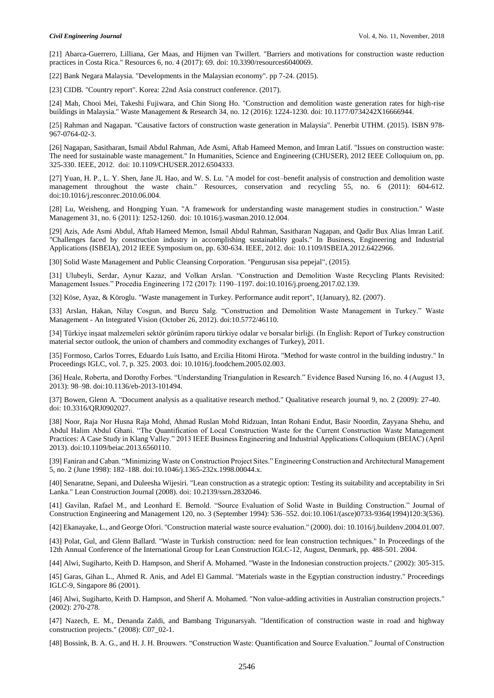[21] Abarca-Guerrero, Lilliana, Ger Maas, and Hijmen van Twillert. "Barriers and motivations for construction waste reduction practices in Costa Rica." Resources 6, no. 4 (2017): 69. doi: 10.3390/resources6040069.

[22] Bank Negara Malaysia. "Developments in the Malaysian economy". pp 7-24. (2015).

[23] CIDB. "Country report". Korea: 22nd Asia construct conference. (2017).

[24] Mah, Chooi Mei, Takeshi Fujiwara, and Chin Siong Ho. "Construction and demolition waste generation rates for high-rise buildings in Malaysia." Waste Management & Research 34, no. 12 (2016): 1224-1230. doi: 10.1177/0734242X16666944.

[25] Rahman and Nagapan. "Causative factors of construction waste generation in Malaysia". Penerbit UTHM. (2015). ISBN 978- 967-0764-02-3.

[26] Nagapan, Sasitharan, Ismail Abdul Rahman, Ade Asmi, Aftab Hameed Memon, and Imran Latif. "Issues on construction waste: The need for sustainable waste management." In Humanities, Science and Engineering (CHUSER), 2012 IEEE Colloquium on, pp. 325-330. IEEE, 2012. doi: 10.1109/CHUSER.2012.6504333.

[27] Yuan, H. P., L. Y. Shen, Jane JL Hao, and W. S. Lu. "A model for cost–benefit analysis of construction and demolition waste management throughout the waste chain." Resources, conservation and recycling 55, no. 6 (2011): 604-612. doi:10.1016/j.resconrec.2010.06.004.

[28] Lu, Weisheng, and Hongping Yuan. "A framework for understanding waste management studies in construction." Waste Management 31, no. 6 (2011): 1252-1260. doi: 10.1016/j.wasman.2010.12.004.

[29] Azis, Ade Asmi Abdul, Aftab Hameed Memon, Ismail Abdul Rahman, Sasitharan Nagapan, and Qadir Bux Alias Imran Latif. "Challenges faced by construction industry in accomplishing sustainablity goals." In Business, Engineering and Industrial Applications (ISBEIA), 2012 IEEE Symposium on, pp. 630-634. IEEE, 2012. doi: 10.1109/ISBEIA.2012.6422966.

[30] Solid Waste Management and Public Cleansing Corporation. "Pengurusan sisa pepejal", (2015).

[31] Ulubeyli, Serdar, Aynur Kazaz, and Volkan Arslan. "Construction and Demolition Waste Recycling Plants Revisited: Management Issues." Procedia Engineering 172 (2017): 1190–1197. doi:10.1016/j.proeng.2017.02.139.

[32] Köse, Ayaz, & Köroglu. "Waste management in Turkey. Performance audit report", 1(January), 82. (2007).

[33] Arslan, Hakan, Nilay Cosgun, and Burcu Salg. "Construction and Demolition Waste Management in Turkey." Waste Management - An Integrated Vision (October 26, 2012). doi:10.5772/46110.

[34] Türkiye inşaat malzemeleri sektör görünüm raporu türkiye odalar ve borsalar birliği. (In English: Report of Turkey construction material sector outlook, the union of chambers and commodity exchanges of Turkey), 2011.

[35] Formoso, Carlos Torres, Eduardo Luís Isatto, and Ercilia Hitomi Hirota. "Method for waste control in the building industry." In Proceedings IGLC, vol. 7, p. 325. 2003. doi: 10.1016/j.foodchem.2005.02.003.

[36] Heale, Roberta, and Dorothy Forbes. "Understanding Triangulation in Research." Evidence Based Nursing 16, no. 4 (August 13, 2013): 98–98. doi:10.1136/eb-2013-101494.

[37] Bowen, Glenn A. "Document analysis as a qualitative research method." Qualitative research journal 9, no. 2 (2009): 27-40. doi: 10.3316/QRJ0902027.

[38] Noor, Raja Nor Husna Raja Mohd, Ahmad Ruslan Mohd Ridzuan, Intan Rohani Endut, Basir Noordin, Zayyana Shehu, and Abdul Halim Abdul Ghani. "The Quantification of Local Construction Waste for the Current Construction Waste Management Practices: A Case Study in Klang Valley." 2013 IEEE Business Engineering and Industrial Applications Colloquium (BEIAC) (April 2013). doi:10.1109/beiac.2013.6560110.

[39] Faniran and Caban. "Minimizing Waste on Construction Project Sites." Engineering Construction and Architectural Management 5, no. 2 (June 1998): 182–188. doi:10.1046/j.1365-232x.1998.00044.x.

[40] Senaratne, Sepani, and Duleesha Wijesiri. "Lean construction as a strategic option: Testing its suitability and acceptability in Sri Lanka." Lean Construction Journal (2008). doi: 10.2139/ssrn.2832046.

[41] Gavilan, Rafael M., and Leonhard E. Bernold. "Source Evaluation of Solid Waste in Building Construction." Journal of Construction Engineering and Management 120, no. 3 (September 1994): 536–552. doi:10.1061/(asce)0733-9364(1994)120:3(536).

[42] Ekanayake, L., and George Ofori. "Construction material waste source evaluation." (2000). doi: 10.1016/j.buildenv.2004.01.007.

[43] Polat, Gul, and Glenn Ballard. "Waste in Turkish construction: need for lean construction techniques." In Proceedings of the 12th Annual Conference of the International Group for Lean Construction IGLC-12, August, Denmark, pp. 488-501. 2004.

[44] Alwi, Sugiharto, Keith D. Hampson, and Sherif A. Mohamed. "Waste in the Indonesian construction projects." (2002): 305-315.

[45] Garas, Gihan L., Ahmed R. Anis, and Adel El Gammal. "Materials waste in the Egyptian construction industry." Proceedings IGLC-9, Singapore 86 (2001).

[46] Alwi, Sugiharto, Keith D. Hampson, and Sherif A. Mohamed. "Non value-adding activities in Australian construction projects." (2002): 270-278.

[47] Nazech, E. M., Denanda Zaldi, and Bambang Trigunarsyah. "Identification of construction waste in road and highway construction projects." (2008): C07\_02-1.

[48] Bossink, B. A. G., and H. J. H. Brouwers. "Construction Waste: Quantification and Source Evaluation." Journal of Construction